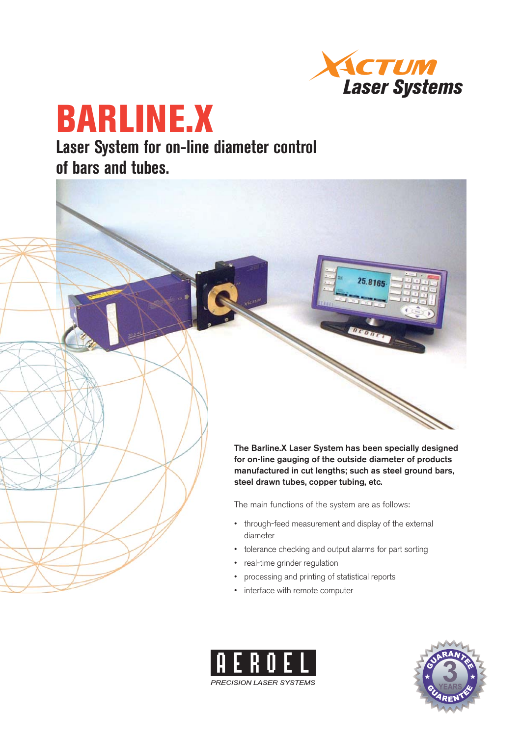

25.8165

# **BARLINE.X Laser System for on-line diameter control**

**of bars and tubes.**

**The Barline.X Laser System has been specially designed for on-line gauging of the outside diameter of products manufactured in cut lengths; such as steel ground bars, steel drawn tubes, copper tubing, etc.** 

The main functions of the system are as follows:

- through-feed measurement and display of the external diameter
- tolerance checking and output alarms for part sorting
- real-time grinder regulation
- processing and printing of statistical reports
- interface with remote computer



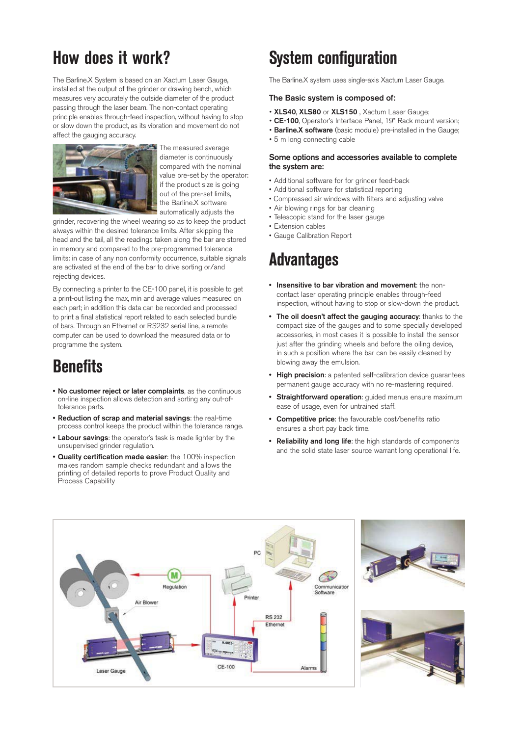# **How does it work?**

The Barline.X System is based on an Xactum Laser Gauge, installed at the output of the grinder or drawing bench, which measures very accurately the outside diameter of the product passing through the laser beam. The non-contact operating principle enables through-feed inspection, without having to stop or slow down the product, as its vibration and movement do not affect the gauging accuracy.



The measured average diameter is continuously compared with the nominal value pre-set by the operator: if the product size is going out of the pre-set limits, the Barline.X software automatically adjusts the

grinder, recovering the wheel wearing so as to keep the product always within the desired tolerance limits. After skipping the head and the tail, all the readings taken along the bar are stored in memory and compared to the pre-programmed tolerance limits: in case of any non conformity occurrence, suitable signals are activated at the end of the bar to drive sorting or/and rejecting devices.

By connecting a printer to the CE-100 panel, it is possible to get a print-out listing the max, min and average values measured on each part; in addition this data can be recorded and processed to print a final statistical report related to each selected bundle of bars. Through an Ethernet or RS232 serial line, a remote computer can be used to download the measured data or to programme the system.

# **Benefits**

- **No customer reject or later complaints**, as the continuous **•** on-line inspection allows detection and sorting any out-oftolerance parts.
- **Reduction of scrap and material savings**: the real-time **•** process control keeps the product within the tolerance range.
- **Labour savings**: the operator's task is made lighter by the **•** unsupervised grinder regulation.
- **Quality certification made easier**: the 100% inspection **•** makes random sample checks redundant and allows the printing of detailed reports to prove Product Quality and Process Capability

# **System configuration**

The Barline.X system uses single-axis Xactum Laser Gauge.

### **The Basic system is composed of:**

- **XLS40**, **XLS80** or **XLS150** , Xactum Laser Gauge;
- **CE-100**, Operator's Interface Panel, 19" Rack mount version;
- **Barline.X software** (basic module) pre-installed in the Gauge;
- 5 m long connecting cable

### **Some options and accessories available to complete the system are:**

- Additional software for for grinder feed-back
- Additional software for statistical reporting
- Compressed air windows with filters and adjusting valve
- Air blowing rings for bar cleaning
- Telescopic stand for the laser gauge
- Extension cables
- Gauge Calibration Report

# **Advantages**

- **•** Insensitive to bar vibration and movement: the noncontact laser operating principle enables through-feed inspection, without having to stop or slow-down the product.
- **The oil doesn't affect the gauging accuracy**: thanks to the **•** compact size of the gauges and to some specially developed accessories, in most cases it is possible to install the sensor just after the grinding wheels and before the oiling device, in such a position where the bar can be easily cleaned by blowing away the emulsion.
- **High precision**: a patented self-calibration device guarantees **•** permanent gauge accuracy with no re-mastering required.
- **Straightforward operation**: guided menus ensure maximum **•** ease of usage, even for untrained staff.
- **Competitive price**: the favourable cost/benefits ratio **•** ensures a short pay back time.
- **Reliability and long life**: the high standards of components **•**and the solid state laser source warrant long operational life.

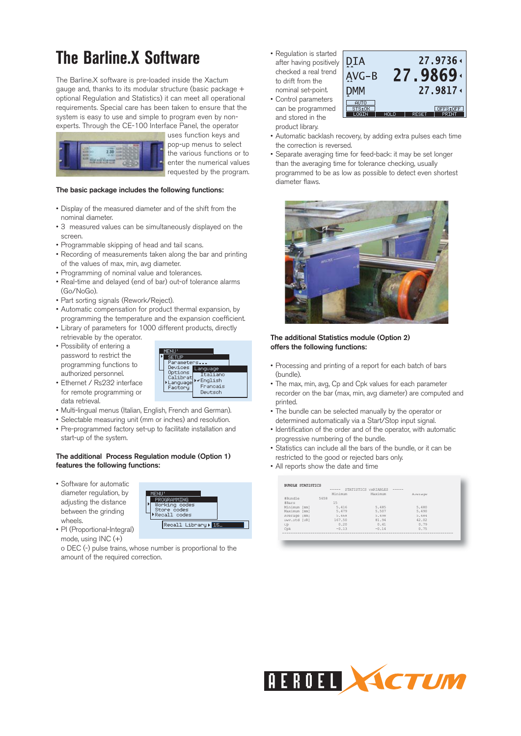# **The Barline.X Software**

The Barline.X software is pre-loaded inside the Xactum gauge and, thanks to its modular structure (basic package + optional Regulation and Statistics) it can meet all operational requirements. Special care has been taken to ensure that the system is easy to use and simple to program even by nonexperts. Through the CE-100 Interface Panel, the operator



uses function keys and pop-up menus to select the various functions or to enter the numerical values requested by the program.

### **The basic package includes the following functions:**

- Display of the measured diameter and of the shift from the nominal diameter.
- 3 measured values can be simultaneously displayed on the screen.
- Programmable skipping of head and tail scans.
- Recording of measurements taken along the bar and printing of the values of max, min, avg diameter.
- Programming of nominal value and tolerances.
- Real-time and delayed (end of bar) out-of tolerance alarms (Go/NoGo).
- Part sorting signals (Rework/Reject).
- Automatic compensation for product thermal expansion, by programming the temperature and the expansion coefficient.
- Library of parameters for 1000 different products, directly retrievable by the operator.
- Possibility of entering a password to restrict the programming functions to authorized personnel.

• Ethernet / Rs232 interface for remote programming or



- data retrieval. • Multi-lingual menus (Italian, English, French and German).
- Selectable measuring unit (mm or inches) and resolution.
- Pre-programmed factory set-up to facilitate installation and start-up of the system.

### **The additional Process Regulation module (Option 1) features the following functions:**

- Software for automatic diameter regulation, by adjusting the distance between the grinding wheels.
- PI (Proportional-Integral) mode, using INC (+)

o DEC (-) pulse trains, whose number is proportional to the amount of the required correction.

PROGRAMMING Working<br>Code<br>Store codes<br>Recall codes

Recall Library) 15

• Regulation is started after having positively checked a real trend to drift from the nominal set-point. • Control parameters

can be programmed and stored in the product library.



- Automatic backlash recovery, by adding extra pulses each time the correction is reversed.
- Separate averaging time for feed-back: it may be set longer than the averaging time for tolerance checking, usually programmed to be as low as possible to detect even shortest diameter flaws.



### **The additional Statistics module (Option 2) offers the following functions:**

- Processing and printing of a report for each batch of bars (bundle).
- The max, min, avg, Cp and Cpk values for each parameter recorder on the bar (max, min, avg diameter) are computed and printed.
- The bundle can be selected manually by the operator or determined automatically via a Start/Stop input signal.
- Identification of the order and of the operator, with automatic progressive numbering of the bundle.
- Statistics can include all the bars of the bundle, or it can be restricted to the good or rejected bars only.
- All reports show the date and time

| BUNDLE STATISTICS |         |                      |         |  |
|-------------------|---------|----------------------|---------|--|
|                   | -----   | STATISTICS VARIABLES | -----   |  |
|                   | Minimum | Maximum              | Average |  |
| #Bundle           | 5658    |                      |         |  |
| #Bars             | 15      |                      |         |  |
| Minimum<br>mm     | 5.416   | 5.485                | 5.480   |  |
| Maximum<br>mm     | 5.479   | 5.507                | 5.490   |  |
| Average<br>mm     | 5.468   | 5.498                | 5.484   |  |
| Dev.Std [UR]      | 167.50  | 81.94                | 42.02   |  |
| Cp                | 0.20    | 0.41                 | 0.79    |  |
| Cpk               | $-0.13$ | $-0.14$              | 0.75    |  |